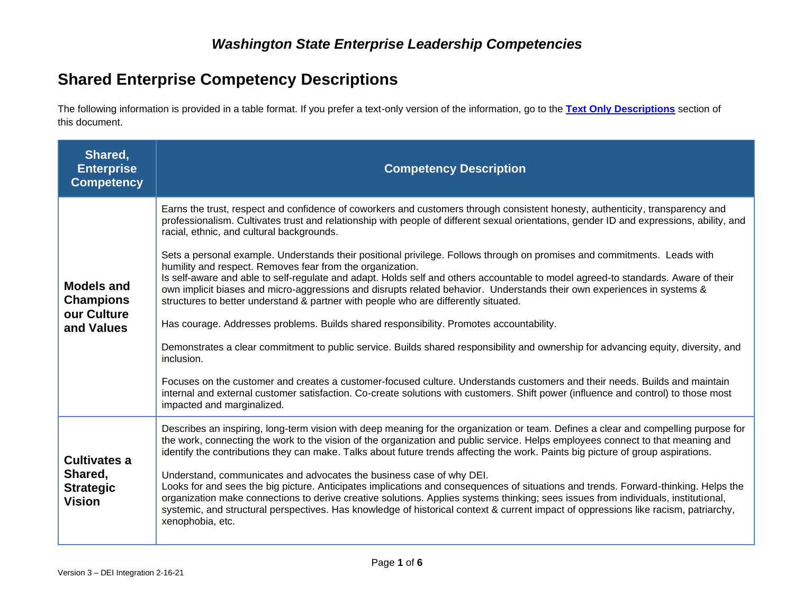# **Shared Enterprise Competency Descriptions**

The following information is provided in a table format. If you prefer a text-only version of the information, go to the **[Text Only Descriptions](#page-3-0)** section of this document.

| Shared,<br><b>Enterprise</b><br><b>Competency</b>                   | <b>Competency Description</b>                                                                                                                                                                                                                                                                                                                                                                                                                                                                                                                                                                                                                                                                                                                                                                                                                                                                                                                                                                                                                                                                                                                                                                                                                                                                                                                                                                                           |
|---------------------------------------------------------------------|-------------------------------------------------------------------------------------------------------------------------------------------------------------------------------------------------------------------------------------------------------------------------------------------------------------------------------------------------------------------------------------------------------------------------------------------------------------------------------------------------------------------------------------------------------------------------------------------------------------------------------------------------------------------------------------------------------------------------------------------------------------------------------------------------------------------------------------------------------------------------------------------------------------------------------------------------------------------------------------------------------------------------------------------------------------------------------------------------------------------------------------------------------------------------------------------------------------------------------------------------------------------------------------------------------------------------------------------------------------------------------------------------------------------------|
| <b>Models and</b><br><b>Champions</b><br>our Culture<br>and Values  | Earns the trust, respect and confidence of coworkers and customers through consistent honesty, authenticity, transparency and<br>professionalism. Cultivates trust and relationship with people of different sexual orientations, gender ID and expressions, ability, and<br>racial, ethnic, and cultural backgrounds.<br>Sets a personal example. Understands their positional privilege. Follows through on promises and commitments. Leads with<br>humility and respect. Removes fear from the organization.<br>Is self-aware and able to self-regulate and adapt. Holds self and others accountable to model agreed-to standards. Aware of their<br>own implicit biases and micro-aggressions and disrupts related behavior. Understands their own experiences in systems &<br>structures to better understand & partner with people who are differently situated.<br>Has courage. Addresses problems. Builds shared responsibility. Promotes accountability.<br>Demonstrates a clear commitment to public service. Builds shared responsibility and ownership for advancing equity, diversity, and<br>inclusion.<br>Focuses on the customer and creates a customer-focused culture. Understands customers and their needs. Builds and maintain<br>internal and external customer satisfaction. Co-create solutions with customers. Shift power (influence and control) to those most<br>impacted and marginalized. |
| <b>Cultivates a</b><br>Shared,<br><b>Strategic</b><br><b>Vision</b> | Describes an inspiring, long-term vision with deep meaning for the organization or team. Defines a clear and compelling purpose for<br>the work, connecting the work to the vision of the organization and public service. Helps employees connect to that meaning and<br>identify the contributions they can make. Talks about future trends affecting the work. Paints big picture of group aspirations.<br>Understand, communicates and advocates the business case of why DEI.<br>Looks for and sees the big picture. Anticipates implications and consequences of situations and trends. Forward-thinking. Helps the<br>organization make connections to derive creative solutions. Applies systems thinking; sees issues from individuals, institutional,<br>systemic, and structural perspectives. Has knowledge of historical context & current impact of oppressions like racism, patriarchy,<br>xenophobia, etc.                                                                                                                                                                                                                                                                                                                                                                                                                                                                                              |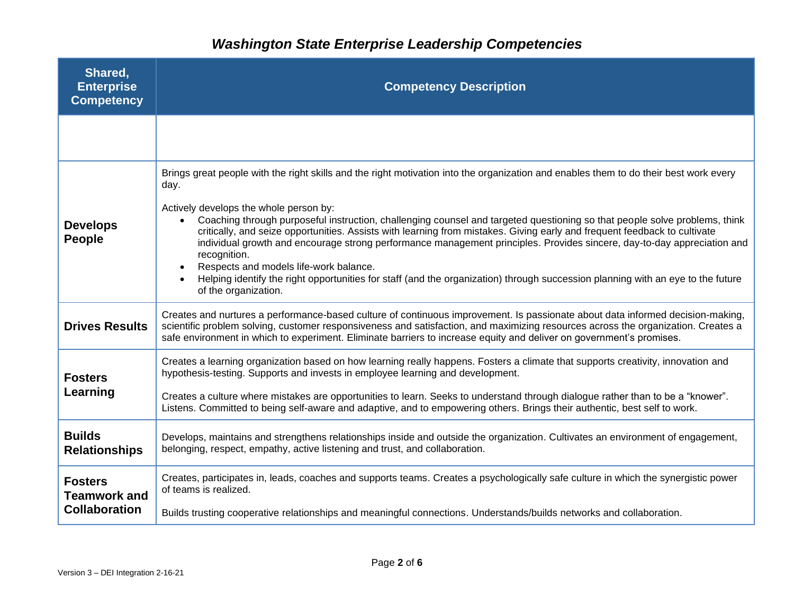| Shared,<br><b>Enterprise</b><br><b>Competency</b>             | <b>Competency Description</b>                                                                                                                                                                                                                                                                                                                                                                                                                                                                                                                                                                                                                                                                                                                                                                                   |
|---------------------------------------------------------------|-----------------------------------------------------------------------------------------------------------------------------------------------------------------------------------------------------------------------------------------------------------------------------------------------------------------------------------------------------------------------------------------------------------------------------------------------------------------------------------------------------------------------------------------------------------------------------------------------------------------------------------------------------------------------------------------------------------------------------------------------------------------------------------------------------------------|
|                                                               |                                                                                                                                                                                                                                                                                                                                                                                                                                                                                                                                                                                                                                                                                                                                                                                                                 |
| <b>Develops</b><br>People                                     | Brings great people with the right skills and the right motivation into the organization and enables them to do their best work every<br>day.<br>Actively develops the whole person by:<br>Coaching through purposeful instruction, challenging counsel and targeted questioning so that people solve problems, think<br>$\bullet$<br>critically, and seize opportunities. Assists with learning from mistakes. Giving early and frequent feedback to cultivate<br>individual growth and encourage strong performance management principles. Provides sincere, day-to-day appreciation and<br>recognition.<br>Respects and models life-work balance.<br>Helping identify the right opportunities for staff (and the organization) through succession planning with an eye to the future<br>of the organization. |
| <b>Drives Results</b>                                         | Creates and nurtures a performance-based culture of continuous improvement. Is passionate about data informed decision-making,<br>scientific problem solving, customer responsiveness and satisfaction, and maximizing resources across the organization. Creates a<br>safe environment in which to experiment. Eliminate barriers to increase equity and deliver on government's promises.                                                                                                                                                                                                                                                                                                                                                                                                                     |
| <b>Fosters</b><br>Learning                                    | Creates a learning organization based on how learning really happens. Fosters a climate that supports creativity, innovation and<br>hypothesis-testing. Supports and invests in employee learning and development.<br>Creates a culture where mistakes are opportunities to learn. Seeks to understand through dialogue rather than to be a "knower".<br>Listens. Committed to being self-aware and adaptive, and to empowering others. Brings their authentic, best self to work.                                                                                                                                                                                                                                                                                                                              |
| <b>Builds</b><br><b>Relationships</b>                         | Develops, maintains and strengthens relationships inside and outside the organization. Cultivates an environment of engagement,<br>belonging, respect, empathy, active listening and trust, and collaboration.                                                                                                                                                                                                                                                                                                                                                                                                                                                                                                                                                                                                  |
| <b>Fosters</b><br><b>Teamwork and</b><br><b>Collaboration</b> | Creates, participates in, leads, coaches and supports teams. Creates a psychologically safe culture in which the synergistic power<br>of teams is realized.<br>Builds trusting cooperative relationships and meaningful connections. Understands/builds networks and collaboration.                                                                                                                                                                                                                                                                                                                                                                                                                                                                                                                             |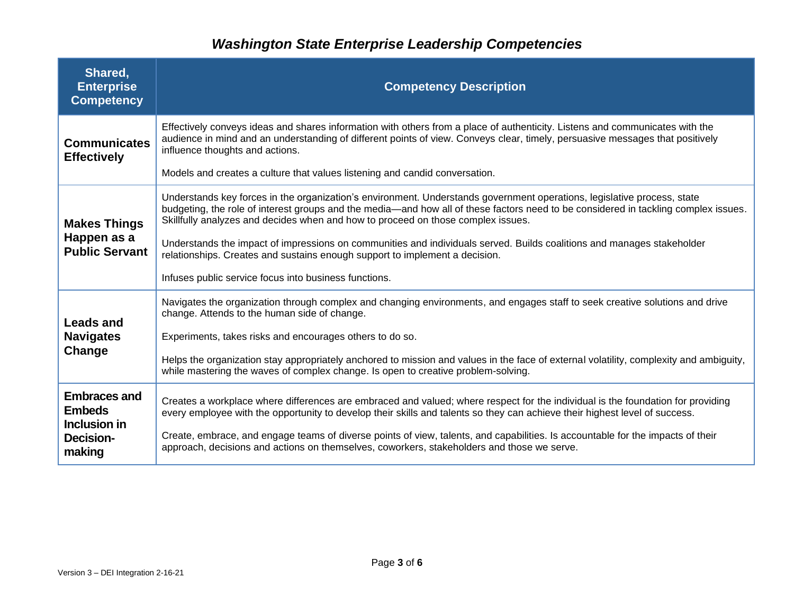| Shared,<br><b>Enterprise</b><br><b>Competency</b>                                  | <b>Competency Description</b>                                                                                                                                                                                                                                                                                                                                                                                                                                                                                                                                                                                        |
|------------------------------------------------------------------------------------|----------------------------------------------------------------------------------------------------------------------------------------------------------------------------------------------------------------------------------------------------------------------------------------------------------------------------------------------------------------------------------------------------------------------------------------------------------------------------------------------------------------------------------------------------------------------------------------------------------------------|
| <b>Communicates</b><br><b>Effectively</b>                                          | Effectively conveys ideas and shares information with others from a place of authenticity. Listens and communicates with the<br>audience in mind and an understanding of different points of view. Conveys clear, timely, persuasive messages that positively<br>influence thoughts and actions.<br>Models and creates a culture that values listening and candid conversation.                                                                                                                                                                                                                                      |
| <b>Makes Things</b><br>Happen as a<br><b>Public Servant</b>                        | Understands key forces in the organization's environment. Understands government operations, legislative process, state<br>budgeting, the role of interest groups and the media—and how all of these factors need to be considered in tackling complex issues.<br>Skillfully analyzes and decides when and how to proceed on those complex issues.<br>Understands the impact of impressions on communities and individuals served. Builds coalitions and manages stakeholder<br>relationships. Creates and sustains enough support to implement a decision.<br>Infuses public service focus into business functions. |
| <b>Leads and</b><br><b>Navigates</b><br>Change                                     | Navigates the organization through complex and changing environments, and engages staff to seek creative solutions and drive<br>change. Attends to the human side of change.<br>Experiments, takes risks and encourages others to do so.<br>Helps the organization stay appropriately anchored to mission and values in the face of external volatility, complexity and ambiguity,<br>while mastering the waves of complex change. Is open to creative problem-solving.                                                                                                                                              |
| <b>Embraces and</b><br><b>Embeds</b><br>Inclusion in<br><b>Decision-</b><br>making | Creates a workplace where differences are embraced and valued; where respect for the individual is the foundation for providing<br>every employee with the opportunity to develop their skills and talents so they can achieve their highest level of success.<br>Create, embrace, and engage teams of diverse points of view, talents, and capabilities. Is accountable for the impacts of their<br>approach, decisions and actions on themselves, coworkers, stakeholders and those we serve.                                                                                                                      |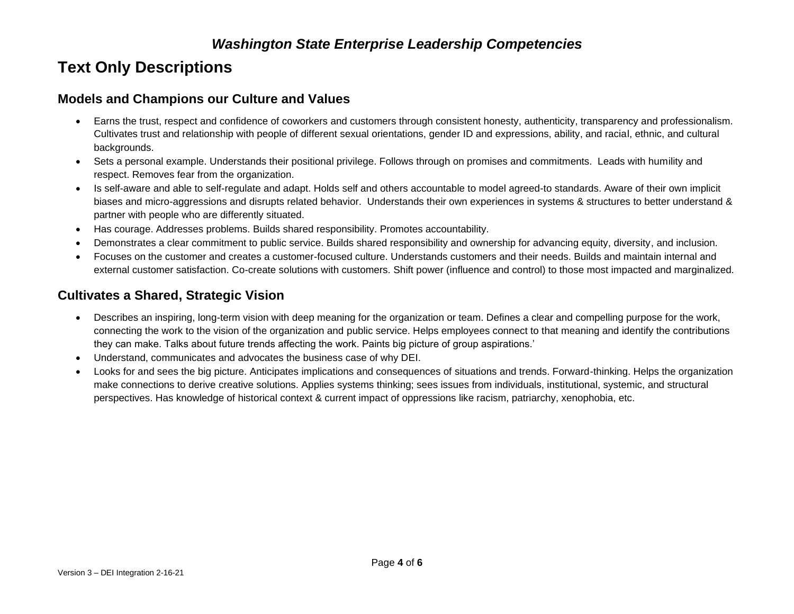# <span id="page-3-0"></span>**Text Only Descriptions**

#### **Models and Champions our Culture and Values**

- Earns the trust, respect and confidence of coworkers and customers through consistent honesty, authenticity, transparency and professionalism. Cultivates trust and relationship with people of different sexual orientations, gender ID and expressions, ability, and racial, ethnic, and cultural backgrounds.
- Sets a personal example. Understands their positional privilege. Follows through on promises and commitments. Leads with humility and respect. Removes fear from the organization.
- Is self-aware and able to self-regulate and adapt. Holds self and others accountable to model agreed-to standards. Aware of their own implicit biases and micro-aggressions and disrupts related behavior. Understands their own experiences in systems & structures to better understand & partner with people who are differently situated.
- Has courage. Addresses problems. Builds shared responsibility. Promotes accountability.
- Demonstrates a clear commitment to public service. Builds shared responsibility and ownership for advancing equity, diversity, and inclusion.
- Focuses on the customer and creates a customer-focused culture. Understands customers and their needs. Builds and maintain internal and external customer satisfaction. Co-create solutions with customers. Shift power (influence and control) to those most impacted and marginalized.

#### **Cultivates a Shared, Strategic Vision**

- Describes an inspiring, long-term vision with deep meaning for the organization or team. Defines a clear and compelling purpose for the work, connecting the work to the vision of the organization and public service. Helps employees connect to that meaning and identify the contributions they can make. Talks about future trends affecting the work. Paints big picture of group aspirations.'
- Understand, communicates and advocates the business case of why DEI.
- Looks for and sees the big picture. Anticipates implications and consequences of situations and trends. Forward-thinking. Helps the organization make connections to derive creative solutions. Applies systems thinking; sees issues from individuals, institutional, systemic, and structural perspectives. Has knowledge of historical context & current impact of oppressions like racism, patriarchy, xenophobia, etc.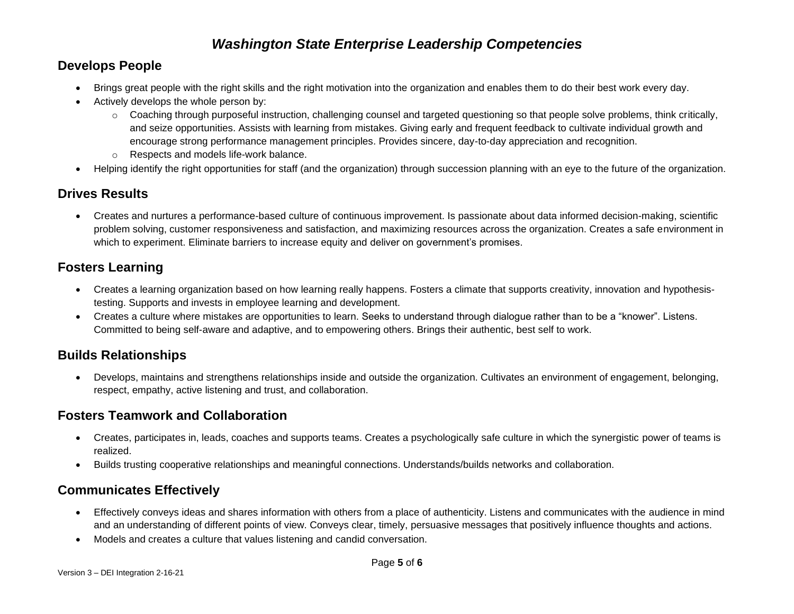### **Develops People**

- Brings great people with the right skills and the right motivation into the organization and enables them to do their best work every day.
- Actively develops the whole person by:
	- o Coaching through purposeful instruction, challenging counsel and targeted questioning so that people solve problems, think critically, and seize opportunities. Assists with learning from mistakes. Giving early and frequent feedback to cultivate individual growth and encourage strong performance management principles. Provides sincere, day-to-day appreciation and recognition. o Respects and models life-work balance.
- Helping identify the right opportunities for staff (and the organization) through succession planning with an eye to the future of the organization.

## **Drives Results**

• Creates and nurtures a performance-based culture of continuous improvement. Is passionate about data informed decision-making, scientific problem solving, customer responsiveness and satisfaction, and maximizing resources across the organization. Creates a safe environment in which to experiment. Eliminate barriers to increase equity and deliver on government's promises.

## **Fosters Learning**

- Creates a learning organization based on how learning really happens. Fosters a climate that supports creativity, innovation and hypothesistesting. Supports and invests in employee learning and development.
- Creates a culture where mistakes are opportunities to learn. Seeks to understand through dialogue rather than to be a "knower". Listens. Committed to being self-aware and adaptive, and to empowering others. Brings their authentic, best self to work.

#### **Builds Relationships**

• Develops, maintains and strengthens relationships inside and outside the organization. Cultivates an environment of engagement, belonging, respect, empathy, active listening and trust, and collaboration.

#### **Fosters Teamwork and Collaboration**

- Creates, participates in, leads, coaches and supports teams. Creates a psychologically safe culture in which the synergistic power of teams is realized.
- Builds trusting cooperative relationships and meaningful connections. Understands/builds networks and collaboration.

#### **Communicates Effectively**

- Effectively conveys ideas and shares information with others from a place of authenticity. Listens and communicates with the audience in mind and an understanding of different points of view. Conveys clear, timely, persuasive messages that positively influence thoughts and actions.
- Models and creates a culture that values listening and candid conversation.